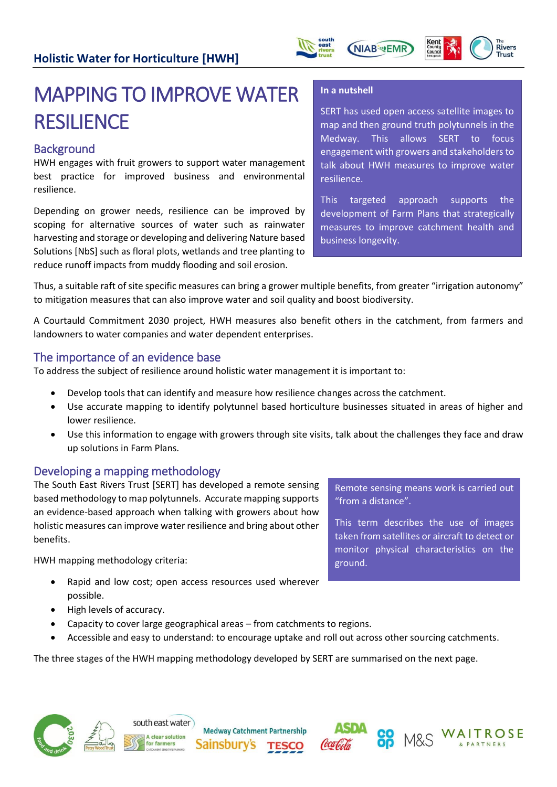



# MAPPING TO IMPROVE WATER **RESILIENCE**

## **Background**

HWH engages with fruit growers to support water management best practice for improved business and environmental resilience.

Depending on grower needs, resilience can be improved by scoping for alternative sources of water such as rainwater harvesting and storage or developing and delivering Nature based Solutions [NbS] such as floral plots, wetlands and tree planting to reduce runoff impacts from muddy flooding and soil erosion.

#### **In a nutshell**

**NIAB WEMR** 

SERT has used open access satellite images to map and then ground truth polytunnels in the Medway. This allows SERT to focus engagement with growers and stakeholders to talk about HWH measures to improve water resilience.

This targeted approach supports the development of Farm Plans that strategically measures to improve catchment health and business longevity.

Thus, a suitable raft of site specific measures can bring a grower multiple benefits, from greater "irrigation autonomy" to mitigation measures that can also improve water and soil quality and boost biodiversity.

A Courtauld Commitment 2030 project, HWH measures also benefit others in the catchment, from farmers and landowners to water companies and water dependent enterprises.

## The importance of an evidence base

To address the subject of resilience around holistic water management it is important to:

- Develop tools that can identify and measure how resilience changes across the catchment.
- Use accurate mapping to identify polytunnel based horticulture businesses situated in areas of higher and lower resilience.
- Use this information to engage with growers through site visits, talk about the challenges they face and draw up solutions in Farm Plans.

## Developing a mapping methodology

The South East Rivers Trust [SERT] has developed a remote sensing based methodology to map polytunnels. Accurate mapping supports an evidence-based approach when talking with growers about how holistic measures can improve water resilience and bring about other benefits.

HWH mapping methodology criteria:

- Rapid and low cost; open access resources used wherever possible.
- High levels of accuracy.
- Capacity to cover large geographical areas from catchments to regions.
- Accessible and easy to understand: to encourage uptake and roll out across other sourcing catchments.

The three stages of the HWH mapping methodology developed by SERT are summarised on the next page.





**Medway Catchment Partnership Sainsbury's** 





Remote sensing means work is carried out "from a distance".

This term describes the use of images taken from satellites or aircraft to detect or monitor physical characteristics on the ground.